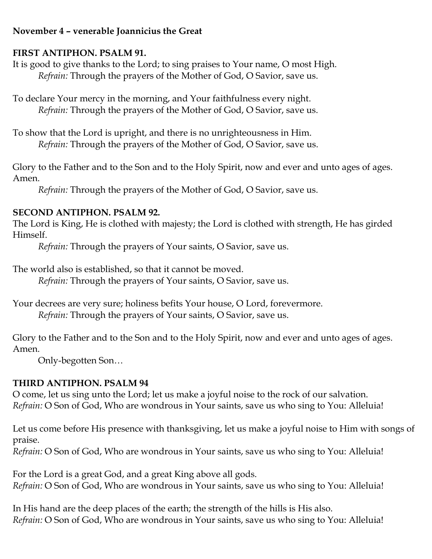## **November 4 – venerable Joannicius the Great**

## **FIRST ANTIPHON. PSALM 91.**

It is good to give thanks to the Lord; to sing praises to Your name, O most High. *Refrain:* Through the prayers of the Mother of God, O Savior, save us.

To declare Your mercy in the morning, and Your faithfulness every night. *Refrain:* Through the prayers of the Mother of God, O Savior, save us.

To show that the Lord is upright, and there is no unrighteousness in Him. *Refrain:* Through the prayers of the Mother of God, O Savior, save us.

Glory to the Father and to the Son and to the Holy Spirit, now and ever and unto ages of ages. Amen.

*Refrain:* Through the prayers of the Mother of God, O Savior, save us.

## **SECOND ANTIPHON. PSALM 92.**

The Lord is King, He is clothed with majesty; the Lord is clothed with strength, He has girded Himself.

*Refrain:* Through the prayers of Your saints, O Savior, save us.

The world also is established, so that it cannot be moved.

*Refrain:* Through the prayers of Your saints, O Savior, save us.

Your decrees are very sure; holiness befits Your house, O Lord, forevermore. *Refrain:* Through the prayers of Your saints, O Savior, save us.

Glory to the Father and to the Son and to the Holy Spirit, now and ever and unto ages of ages. Amen.

Only-begotten Son…

# **THIRD ANTIPHON. PSALM 94**

O come, let us sing unto the Lord; let us make a joyful noise to the rock of our salvation. *Refrain:* O Son of God, Who are wondrous in Your saints, save us who sing to You: Alleluia!

Let us come before His presence with thanksgiving, let us make a joyful noise to Him with songs of praise.

*Refrain:* O Son of God, Who are wondrous in Your saints, save us who sing to You: Alleluia!

For the Lord is a great God, and a great King above all gods. *Refrain:* O Son of God, Who are wondrous in Your saints, save us who sing to You: Alleluia!

In His hand are the deep places of the earth; the strength of the hills is His also. *Refrain:* O Son of God, Who are wondrous in Your saints, save us who sing to You: Alleluia!